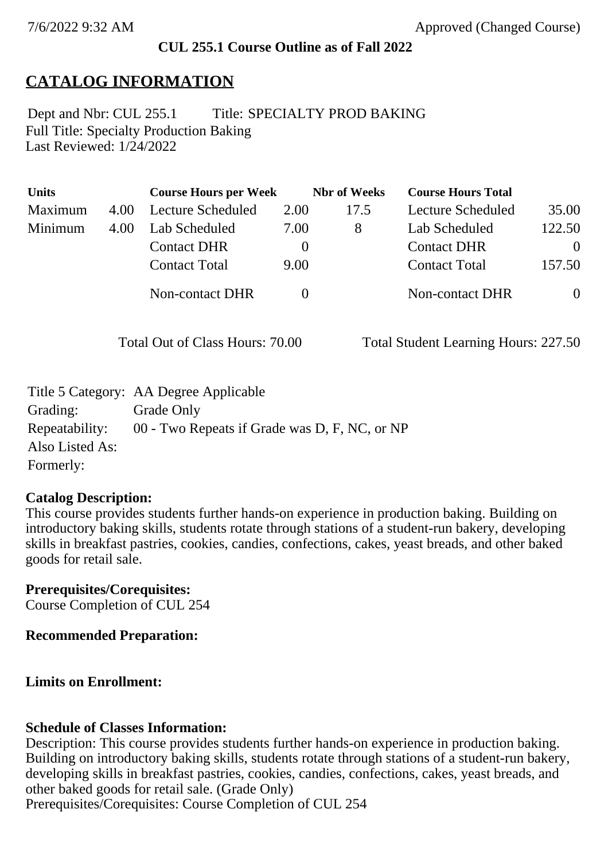### **CUL 255.1 Course Outline as of Fall 2022**

## **CATALOG INFORMATION**

Full Title: Specialty Production Baking Last Reviewed: 1/24/2022 Dept and Nbr: CUL 255.1 Title: SPECIALTY PROD BAKING

| <b>Units</b> |      | <b>Course Hours per Week</b> |          | <b>Nbr</b> of Weeks | <b>Course Hours Total</b> |          |
|--------------|------|------------------------------|----------|---------------------|---------------------------|----------|
| Maximum      | 4.00 | Lecture Scheduled            | 2.00     | 17.5                | Lecture Scheduled         | 35.00    |
| Minimum      | 4.00 | Lab Scheduled                | 7.00     | 8                   | Lab Scheduled             | 122.50   |
|              |      | <b>Contact DHR</b>           | $\theta$ |                     | <b>Contact DHR</b>        | $\Omega$ |
|              |      | <b>Contact Total</b>         | 9.00     |                     | <b>Contact Total</b>      | 157.50   |
|              |      | Non-contact DHR              |          |                     | <b>Non-contact DHR</b>    | $\theta$ |

Total Out of Class Hours: 70.00 Total Student Learning Hours: 227.50

|                 | Title 5 Category: AA Degree Applicable        |
|-----------------|-----------------------------------------------|
| Grading:        | Grade Only                                    |
| Repeatability:  | 00 - Two Repeats if Grade was D, F, NC, or NP |
| Also Listed As: |                                               |
| Formerly:       |                                               |

#### **Catalog Description:**

This course provides students further hands-on experience in production baking. Building on introductory baking skills, students rotate through stations of a student-run bakery, developing skills in breakfast pastries, cookies, candies, confections, cakes, yeast breads, and other baked goods for retail sale.

**Prerequisites/Corequisites:** Course Completion of CUL 254

**Recommended Preparation:**

### **Limits on Enrollment:**

### **Schedule of Classes Information:**

Description: This course provides students further hands-on experience in production baking. Building on introductory baking skills, students rotate through stations of a student-run bakery, developing skills in breakfast pastries, cookies, candies, confections, cakes, yeast breads, and other baked goods for retail sale. (Grade Only) Prerequisites/Corequisites: Course Completion of CUL 254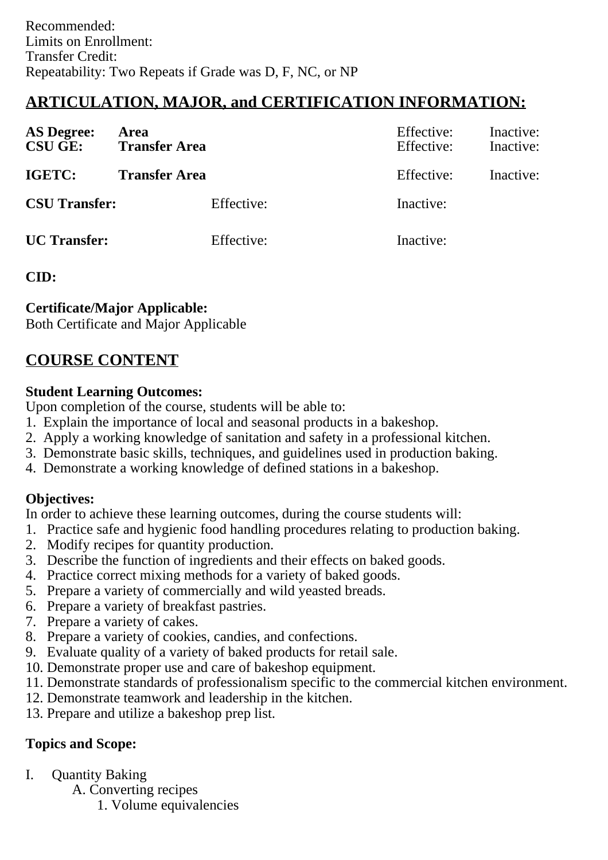# **ARTICULATION, MAJOR, and CERTIFICATION INFORMATION:**

| <b>AS Degree:</b><br><b>CSU GE:</b> | Area<br><b>Transfer Area</b> | Effective:<br>Effective: | Inactive:<br>Inactive: |
|-------------------------------------|------------------------------|--------------------------|------------------------|
| IGETC:                              | <b>Transfer Area</b>         | Effective:               | Inactive:              |
| <b>CSU Transfer:</b>                | Effective:                   | Inactive:                |                        |
| <b>UC</b> Transfer:                 | Effective:                   | Inactive:                |                        |

**CID:**

### **Certificate/Major Applicable:**

[Both Certificate and Major Applicable](SR_ClassCheck.aspx?CourseKey=CUL255.1)

# **COURSE CONTENT**

### **Student Learning Outcomes:**

Upon completion of the course, students will be able to:

- 1. Explain the importance of local and seasonal products in a bakeshop.
- 2. Apply a working knowledge of sanitation and safety in a professional kitchen.
- 3. Demonstrate basic skills, techniques, and guidelines used in production baking.
- 4. Demonstrate a working knowledge of defined stations in a bakeshop.

## **Objectives:**

In order to achieve these learning outcomes, during the course students will:

- 1. Practice safe and hygienic food handling procedures relating to production baking.
- 2. Modify recipes for quantity production.
- 3. Describe the function of ingredients and their effects on baked goods.
- 4. Practice correct mixing methods for a variety of baked goods.
- 5. Prepare a variety of commercially and wild yeasted breads.
- 6. Prepare a variety of breakfast pastries.
- 7. Prepare a variety of cakes.
- 8. Prepare a variety of cookies, candies, and confections.
- 9. Evaluate quality of a variety of baked products for retail sale.
- 10. Demonstrate proper use and care of bakeshop equipment.
- 11. Demonstrate standards of professionalism specific to the commercial kitchen environment.
- 12. Demonstrate teamwork and leadership in the kitchen.
- 13. Prepare and utilize a bakeshop prep list.

## **Topics and Scope:**

- I. Quantity Baking
	- A. Converting recipes
		- 1. Volume equivalencies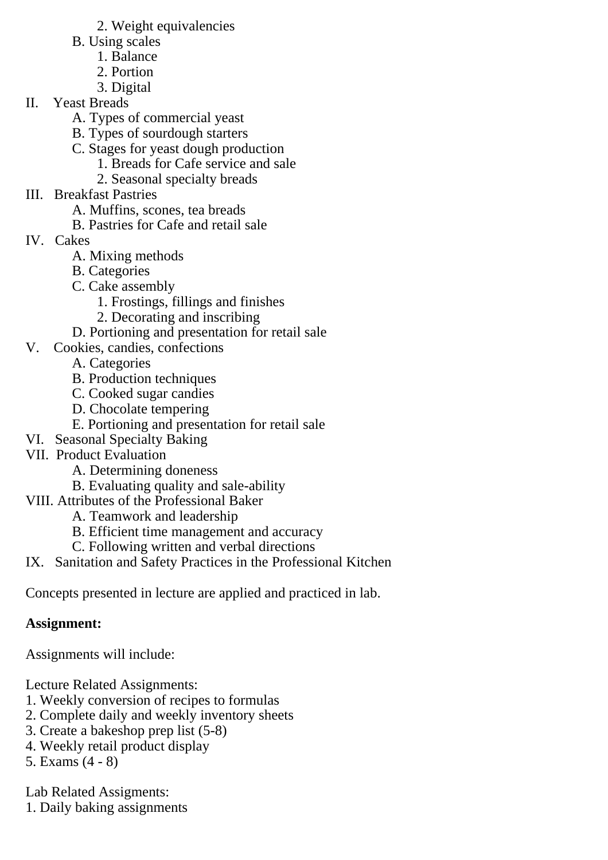- 2. Weight equivalencies
- B. Using scales
	- 1. Balance
	- 2. Portion
	- 3. Digital
- II. Yeast Breads
	- A. Types of commercial yeast
	- B. Types of sourdough starters
	- C. Stages for yeast dough production
		- 1. Breads for Cafe service and sale
		- 2. Seasonal specialty breads
- III. Breakfast Pastries
	- A. Muffins, scones, tea breads
	- B. Pastries for Cafe and retail sale
- IV. Cakes
	- A. Mixing methods
	- B. Categories
	- C. Cake assembly
		- 1. Frostings, fillings and finishes
		- 2. Decorating and inscribing
	- D. Portioning and presentation for retail sale
- V. Cookies, candies, confections
	- A. Categories
	- B. Production techniques
	- C. Cooked sugar candies
	- D. Chocolate tempering
	- E. Portioning and presentation for retail sale
- VI. Seasonal Specialty Baking
- VII. Product Evaluation
	- A. Determining doneness
	- B. Evaluating quality and sale-ability
- VIII. Attributes of the Professional Baker
	- A. Teamwork and leadership
	- B. Efficient time management and accuracy
	- C. Following written and verbal directions
- IX. Sanitation and Safety Practices in the Professional Kitchen

Concepts presented in lecture are applied and practiced in lab.

# **Assignment:**

Assignments will include:

Lecture Related Assignments:

- 1. Weekly conversion of recipes to formulas
- 2. Complete daily and weekly inventory sheets
- 3. Create a bakeshop prep list (5-8)
- 4. Weekly retail product display
- 5. Exams (4 8)

Lab Related Assigments:

1. Daily baking assignments